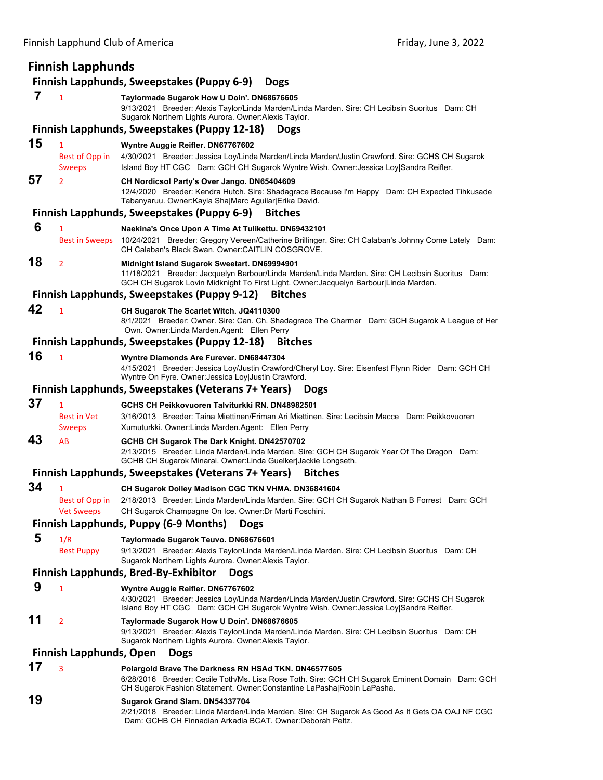# Finnish Lapphund Club of America Friday, June 3, 2022 **Finnish Lapphunds Finnish Lapphunds, Sweepstakes (Puppy 6‐9) Dogs 7** <sup>1</sup> **Taylormade Sugarok How U Doin'. DN68676605** 9/13/2021 Breeder: Alexis Taylor/Linda Marden/Linda Marden. Sire: CH Lecibsin Suoritus Dam: CH Sugarok Northern Lights Aurora. Owner:Alexis Taylor. **Finnish Lapphunds, Sweepstakes (Puppy 12‐18) Dogs 15** <sup>1</sup> **Wyntre Auggie Reifler. DN67767602** Best of Opp in 4/30/2021 Breeder: Jessica Loy/Linda Marden/Linda Marden/Justin Crawford. Sire: GCHS CH Sugarok Sweeps Island Boy HT CGC Dam: GCH CH Sugarok Wyntre Wish. Owner: Jessica Loy|Sandra Reifler. **57** <sup>2</sup> **CH Nordicsol Party's Over Jango. DN65404609** 12/4/2020 Breeder: Kendra Hutch. Sire: Shadagrace Because I'm Happy Dam: CH Expected Tihkusade Tabanyaruu. Owner:Kayla Sha|Marc Aguilar|Erika David. **Finnish Lapphunds, Sweepstakes (Puppy 6‐9) Bitches 6** <sup>1</sup> **Naekina's Once Upon A Time At Tulikettu. DN69432101** Best in Sweeps 10/24/2021 Breeder: Gregory Vereen/Catherine Brillinger. Sire: CH Calaban's Johnny Come Lately Dam: CH Calaban's Black Swan. Owner:CAITLIN COSGROVE. **18** <sup>2</sup> **Midnight Island Sugarok Sweetart. DN69994901** 11/18/2021 Breeder: Jacquelyn Barbour/Linda Marden/Linda Marden. Sire: CH Lecibsin Suoritus Dam: GCH CH Sugarok Lovin Midknight To First Light. Owner:Jacquelyn Barbour|Linda Marden. **Finnish Lapphunds, Sweepstakes (Puppy 9‐12) Bitches 42** <sup>1</sup> **CH Sugarok The Scarlet Witch. JQ4110300** 8/1/2021 Breeder: Owner. Sire: Can. Ch. Shadagrace The Charmer Dam: GCH Sugarok A League of Her Own. Owner:Linda Marden.Agent: Ellen Perry **Finnish Lapphunds, Sweepstakes (Puppy 12‐18) Bitches 16** <sup>1</sup> **Wyntre Diamonds Are Furever. DN68447304** 4/15/2021 Breeder: Jessica Loy/Justin Crawford/Cheryl Loy. Sire: Eisenfest Flynn Rider Dam: GCH CH Wyntre On Fyre. Owner:Jessica Loy|Justin Crawford. **Finnish Lapphunds, Sweepstakes (Veterans 7+ Years) Dogs 37** <sup>1</sup> **GCHS CH Peikkovuoren Talviturkki RN. DN48982501** Best in Vet 3/16/2013 Breeder: Taina Miettinen/Friman Ari Miettinen. Sire: Lecibsin Macce Dam: Peikkovuoren Sweeps Xumuturkki. Owner:Linda Marden.Agent: Ellen Perry **43** AB **GCHB CH Sugarok The Dark Knight. DN42570702** 2/13/2015 Breeder: Linda Marden/Linda Marden. Sire: GCH CH Sugarok Year Of The Dragon Dam: GCHB CH Sugarok Minarai. Owner:Linda Guelker|Jackie Longseth. **Finnish Lapphunds, Sweepstakes (Veterans 7+ Years) Bitches 34** <sup>1</sup> **CH Sugarok Dolley Madison CGC TKN VHMA. DN36841604** Best of Opp in 2/18/2013 Breeder: Linda Marden/Linda Marden. Sire: GCH CH Sugarok Nathan B Forrest Dam: GCH Vet Sweeps CH Sugarok Champagne On Ice. Owner:Dr Marti Foschini. **Finnish Lapphunds, Puppy (6‐9 Months) Dogs 5** 1/R **Taylormade Sugarok Teuvo. DN68676601** Best Puppy 9/13/2021 Breeder: Alexis Taylor/Linda Marden/Linda Marden. Sire: CH Lecibsin Suoritus Dam: CH Sugarok Northern Lights Aurora. Owner:Alexis Taylor. **Finnish Lapphunds, Bred‐By‐Exhibitor Dogs 9** <sup>1</sup> **Wyntre Auggie Reifler. DN67767602** 4/30/2021 Breeder: Jessica Loy/Linda Marden/Linda Marden/Justin Crawford. Sire: GCHS CH Sugarok Island Boy HT CGC Dam: GCH CH Sugarok Wyntre Wish. Owner:Jessica Loy|Sandra Reifler. **11** <sup>2</sup> **Taylormade Sugarok How U Doin'. DN68676605**

9/13/2021 Breeder: Alexis Taylor/Linda Marden/Linda Marden. Sire: CH Lecibsin Suoritus Dam: CH Sugarok Northern Lights Aurora. Owner:Alexis Taylor.

#### **Finnish Lapphunds, Open Dogs**

### **17** <sup>3</sup> **Polargold Brave The Darkness RN HSAd TKN. DN46577605**

6/28/2016 Breeder: Cecile Toth/Ms. Lisa Rose Toth. Sire: GCH CH Sugarok Eminent Domain Dam: GCH CH Sugarok Fashion Statement. Owner:Constantine LaPasha|Robin LaPasha.

## **19 Sugarok Grand Slam. DN54337704**

2/21/2018 Breeder: Linda Marden/Linda Marden. Sire: CH Sugarok As Good As It Gets OA OAJ NF CGC Dam: GCHB CH Finnadian Arkadia BCAT. Owner:Deborah Peltz.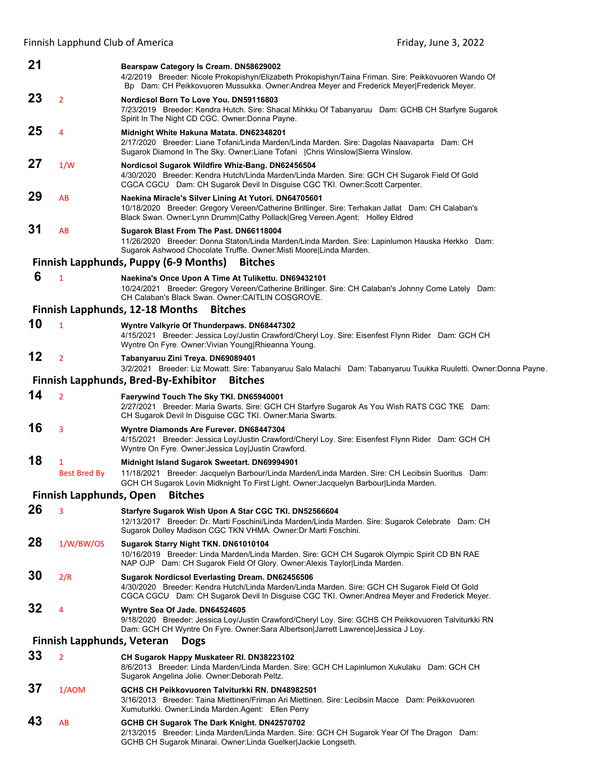Finnish Lapphund Club of America *Exercise 2022*  **Exercise 2022 Exercise 2022** 

| 21                                                             |                         | Bearspaw Category Is Cream. DN58629002<br>4/2/2019 Breeder: Nicole Prokopishyn/Elizabeth Prokopishyn/Taina Friman. Sire: Peikkovuoren Wando Of<br>Bp Dam: CH Peikkovuoren Mussukka. Owner:Andrea Meyer and Frederick Meyer Frederick Meyer.       |  |  |
|----------------------------------------------------------------|-------------------------|---------------------------------------------------------------------------------------------------------------------------------------------------------------------------------------------------------------------------------------------------|--|--|
| 23                                                             | $\overline{2}$          | Nordicsol Born To Love You. DN59116803                                                                                                                                                                                                            |  |  |
|                                                                |                         | 7/23/2019 Breeder: Kendra Hutch. Sire: Shacal Mihkku Of Tabanyaruu Dam: GCHB CH Starfyre Sugarok<br>Spirit In The Night CD CGC. Owner: Donna Payne.                                                                                               |  |  |
| 25                                                             | $\overline{4}$          | Midnight White Hakuna Matata. DN62348201<br>2/17/2020 Breeder: Liane Tofani/Linda Marden/Linda Marden. Sire: Dagolas Naavaparta Dam: CH<br>Sugarok Diamond In The Sky. Owner:Liane Tofani   Chris Winslow Sierra Winslow.                         |  |  |
| 27                                                             | 1/W                     | Nordicsol Sugarok Wildfire Whiz-Bang. DN62456504<br>4/30/2020 Breeder: Kendra Hutch/Linda Marden/Linda Marden. Sire: GCH CH Sugarok Field Of Gold<br>CGCA CGCU Dam: CH Sugarok Devil In Disguise CGC TKI. Owner:Scott Carpenter.                  |  |  |
| 29                                                             | AB                      | Naekina Miracle's Silver Lining At Yutori. DN64705601<br>10/18/2020 Breeder: Gregory Vereen/Catherine Brillinger. Sire: Terhakan Jallat Dam: CH Calaban's<br>Black Swan. Owner:Lynn Drumm Cathy Pollack Greg Vereen.Agent: Holley Eldred          |  |  |
| 31                                                             | AB                      | Sugarok Blast From The Past. DN66118004<br>11/26/2020 Breeder: Donna Staton/Linda Marden/Linda Marden. Sire: Lapinlumon Hauska Herkko Dam:<br>Sugarok Ashwood Chocolate Truffle. Owner: Misti Moore Linda Marden.                                 |  |  |
| <b>Finnish Lapphunds, Puppy (6-9 Months)</b><br><b>Bitches</b> |                         |                                                                                                                                                                                                                                                   |  |  |
| 6                                                              | $\mathbf{1}$            | Naekina's Once Upon A Time At Tulikettu. DN69432101<br>10/24/2021 Breeder: Gregory Vereen/Catherine Brillinger. Sire: CH Calaban's Johnny Come Lately Dam:<br>CH Calaban's Black Swan. Owner: CAITLIN COSGROVE.                                   |  |  |
|                                                                |                         | <b>Finnish Lapphunds, 12-18 Months</b><br><b>Bitches</b>                                                                                                                                                                                          |  |  |
| 10                                                             | $\mathbf{1}$            | Wyntre Valkyrie Of Thunderpaws. DN68447302<br>4/15/2021 Breeder: Jessica Loy/Justin Crawford/Cheryl Loy. Sire: Eisenfest Flynn Rider Dam: GCH CH<br>Wyntre On Fyre. Owner: Vivian Young Rhieanna Young.                                           |  |  |
| 12                                                             | $\overline{2}$          | Tabanyaruu Zini Treya. DN69089401<br>3/2/2021 Breeder: Liz Mowatt. Sire: Tabanyaruu Salo Malachi Dam: Tabanyaruu Tuukka Ruuletti. Owner:Donna Payne.                                                                                              |  |  |
|                                                                |                         | <b>Finnish Lapphunds, Bred-By-Exhibitor</b><br><b>Bitches</b>                                                                                                                                                                                     |  |  |
| 14                                                             | $\overline{2}$          | Faerywind Touch The Sky TKI. DN65940001<br>2/27/2021 Breeder: Maria Swarts. Sire: GCH CH Starfyre Sugarok As You Wish RATS CGC TKE Dam:<br>CH Sugarok Devil In Disguise CGC TKI. Owner: Maria Swarts.                                             |  |  |
| 16                                                             | 3                       | Wyntre Diamonds Are Furever. DN68447304<br>4/15/2021 Breeder: Jessica Loy/Justin Crawford/Cheryl Loy. Sire: Eisenfest Flynn Rider Dam: GCH CH<br>Wyntre On Fyre. Owner: Jessica Loy Justin Crawford.                                              |  |  |
| 18                                                             | $\mathbf{1}$            | Midnight Island Sugarok Sweetart. DN69994901                                                                                                                                                                                                      |  |  |
|                                                                | <b>Best Bred By</b>     | 11/18/2021 Breeder: Jacquelyn Barbour/Linda Marden/Linda Marden. Sire: CH Lecibsin Suoritus Dam:<br>GCH CH Sugarok Lovin Midknight To First Light. Owner: Jacquelyn Barbour Linda Marden.                                                         |  |  |
|                                                                | Finnish Lapphunds, Open | <b>Bitches</b>                                                                                                                                                                                                                                    |  |  |
| 26                                                             | 3                       | Starfyre Sugarok Wish Upon A Star CGC TKI. DN52566604<br>12/13/2017 Breeder: Dr. Marti Foschini/Linda Marden/Linda Marden. Sire: Sugarok Celebrate Dam: CH<br>Sugarok Dolley Madison CGC TKN VHMA. Owner: Dr Marti Foschini.                      |  |  |
| 28                                                             | 1/W/BW/OS               | Sugarok Starry Night TKN. DN61010104<br>10/16/2019 Breeder: Linda Marden/Linda Marden. Sire: GCH CH Sugarok Olympic Spirit CD BN RAE<br>NAP OJP Dam: CH Sugarok Field Of Glory. Owner: Alexis Taylor Linda Marden.                                |  |  |
| 30                                                             | 2/R                     | Sugarok Nordicsol Everlasting Dream. DN62456506<br>4/30/2020 Breeder: Kendra Hutch/Linda Marden/Linda Marden. Sire: GCH CH Sugarok Field Of Gold<br>CGCA CGCU Dam: CH Sugarok Devil In Disguise CGC TKI. Owner: Andrea Meyer and Frederick Meyer. |  |  |
| 32                                                             | 4                       | Wyntre Sea Of Jade. DN64524605<br>9/18/2020 Breeder: Jessica Loy/Justin Crawford/Cheryl Loy. Sire: GCHS CH Peikkovuoren Talviturkki RN<br>Dam: GCH CH Wyntre On Fyre. Owner:Sara Albertson Jarrett Lawrence Jessica J Loy.                        |  |  |
| Finnish Lapphunds, Veteran<br><b>Dogs</b>                      |                         |                                                                                                                                                                                                                                                   |  |  |
| 33                                                             | $\overline{2}$          | CH Sugarok Happy Muskateer RI. DN38223102<br>8/6/2013 Breeder: Linda Marden/Linda Marden. Sire: GCH CH Lapinlumon Xukulaku Dam: GCH CH<br>Sugarok Angelina Jolie. Owner: Deborah Peltz.                                                           |  |  |
| 37                                                             | 1/AOM                   | GCHS CH Peikkovuoren Talviturkki RN. DN48982501<br>3/16/2013 Breeder: Taina Miettinen/Friman Ari Miettinen. Sire: Lecibsin Macce Dam: Peikkovuoren<br>Xumuturkki. Owner: Linda Marden. Agent: Ellen Perry                                         |  |  |
| 43                                                             | AB                      | GCHB CH Sugarok The Dark Knight. DN42570702<br>2/13/2015 Breeder: Linda Marden/Linda Marden. Sire: GCH CH Sugarok Year Of The Dragon Dam:<br>GCHB CH Sugarok Minarai. Owner: Linda Guelker Jackie Longseth.                                       |  |  |